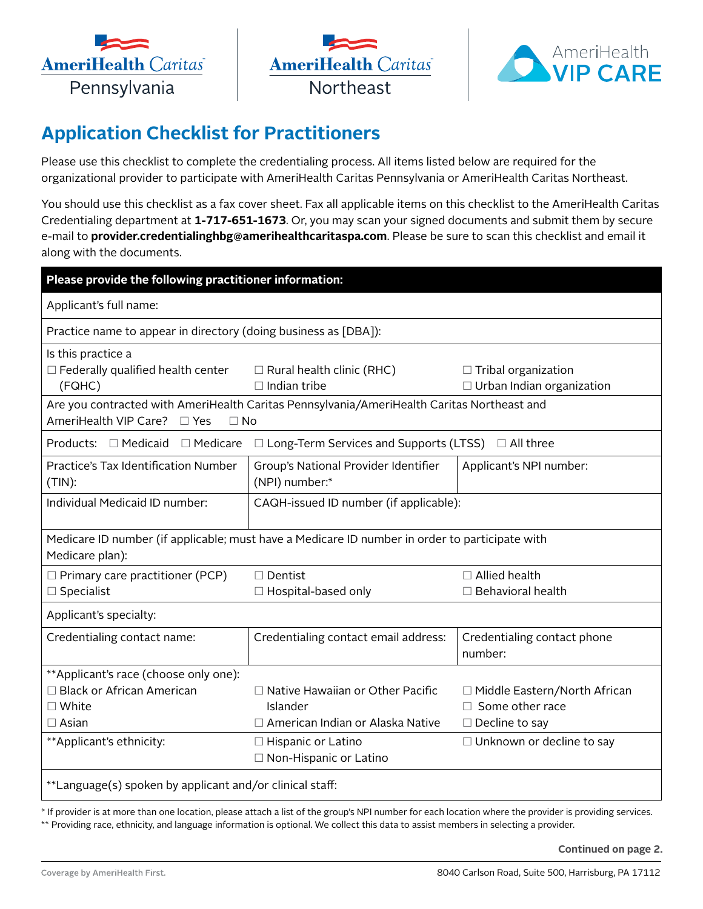





## **Application Checklist for Practitioners**

Please use this checklist to complete the credentialing process. All items listed below are required for the organizational provider to participate with AmeriHealth Caritas Pennsylvania or AmeriHealth Caritas Northeast.

You should use this checklist as a fax cover sheet. Fax all applicable items on this checklist to the AmeriHealth Caritas Credentialing department at **1-717-651-1673**. Or, you may scan your signed documents and submit them by secure e-mail to **[provider.credentialinghbg@amerihealthcaritaspa.com](mailto:provider.credentialinghbg@amerihealthcaritaspa.com)**. Please be sure to scan this checklist and email it along with the documents.

| Please provide the following practitioner information:                                                                                 |                                                         |                                                                |
|----------------------------------------------------------------------------------------------------------------------------------------|---------------------------------------------------------|----------------------------------------------------------------|
| Applicant's full name:                                                                                                                 |                                                         |                                                                |
| Practice name to appear in directory (doing business as [DBA]):                                                                        |                                                         |                                                                |
| Is this practice a<br>$\Box$ Federally qualified health center<br>(FQHC)                                                               | $\Box$ Rural health clinic (RHC)<br>$\Box$ Indian tribe | $\Box$ Tribal organization<br>$\Box$ Urban Indian organization |
| Are you contracted with AmeriHealth Caritas Pennsylvania/AmeriHealth Caritas Northeast and<br>AmeriHealth VIP Care? □ Yes<br>$\Box$ No |                                                         |                                                                |
| Products: □ Medicaid<br>$\Box$ Medicare<br>$\Box$ Long-Term Services and Supports (LTSS) $\Box$ All three                              |                                                         |                                                                |
| Practice's Tax Identification Number<br>$(TIN)$ :                                                                                      | Group's National Provider Identifier<br>(NPI) number:*  | Applicant's NPI number:                                        |
| Individual Medicaid ID number:                                                                                                         | CAQH-issued ID number (if applicable):                  |                                                                |
| Medicare ID number (if applicable; must have a Medicare ID number in order to participate with<br>Medicare plan):                      |                                                         |                                                                |
| $\Box$ Primary care practitioner (PCP)<br>$\square$ Specialist                                                                         | $\Box$ Dentist<br>□ Hospital-based only                 | $\Box$ Allied health<br>$\Box$ Behavioral health               |
| Applicant's specialty:                                                                                                                 |                                                         |                                                                |
| Credentialing contact name:                                                                                                            | Credentialing contact email address:                    | Credentialing contact phone<br>number:                         |
| **Applicant's race (choose only one):                                                                                                  |                                                         |                                                                |
| $\Box$ Black or African American<br>$\square$ White                                                                                    | $\Box$ Native Hawaiian or Other Pacific<br>Islander     | □ Middle Eastern/North African<br>$\Box$ Some other race       |
| $\Box$ Asian                                                                                                                           | $\Box$ American Indian or Alaska Native                 | $\Box$ Decline to say                                          |
| **Applicant's ethnicity:                                                                                                               | $\Box$ Hispanic or Latino<br>□ Non-Hispanic or Latino   | $\Box$ Unknown or decline to say                               |
| **Language(s) spoken by applicant and/or clinical staff:                                                                               |                                                         |                                                                |

\* If provider is at more than one location, please attach a list of the group's NPI number for each location where the provider is providing services. \*\* Providing race, ethnicity, and language information is optional. We collect this data to assist members in selecting a provider.